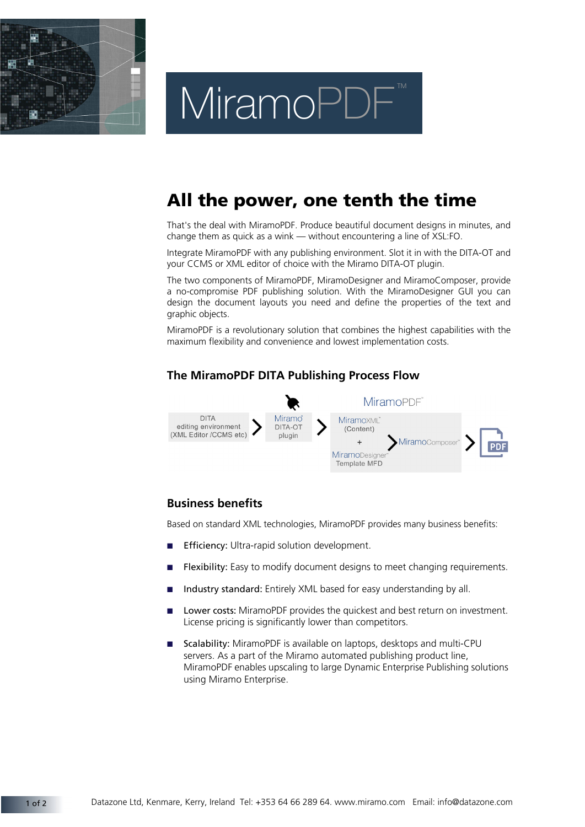

# MiramoPDF

## **All the power, one tenth the time**

That's the deal with MiramoPDF. Produce beautiful document designs in minutes, and change them as quick as a wink — without encountering a line of XSL:FO.

Integrate MiramoPDF with any publishing environment. Slot it in with the DITA-OT and your CCMS or XML editor of choice with the Miramo DITA-OT plugin.

The two components of MiramoPDF, MiramoDesigner and MiramoComposer, provide a no-compromise PDF publishing solution. With the MiramoDesigner GUI you can design the document layouts you need and define the properties of the text and graphic objects.

MiramoPDF is a revolutionary solution that combines the highest capabilities with the maximum flexibility and convenience and lowest implementation costs.

### **The MiramoPDF DITA Publishing Process Flow**



### **Business benefits**

Based on standard XML technologies, MiramoPDF provides many business benefits:

- **Efficiency: Ultra-rapid solution development.**
- Flexibility: Easy to modify document designs to meet changing requirements.
- Industry standard: Entirely XML based for easy understanding by all.
- Lower costs: MiramoPDF provides the quickest and best return on investment. License pricing is significantly lower than competitors.
- Scalability: MiramoPDF is available on laptops, desktops and multi-CPU servers. As a part of the Miramo automated publishing product line, MiramoPDF enables upscaling to large Dynamic Enterprise Publishing solutions using Miramo Enterprise.